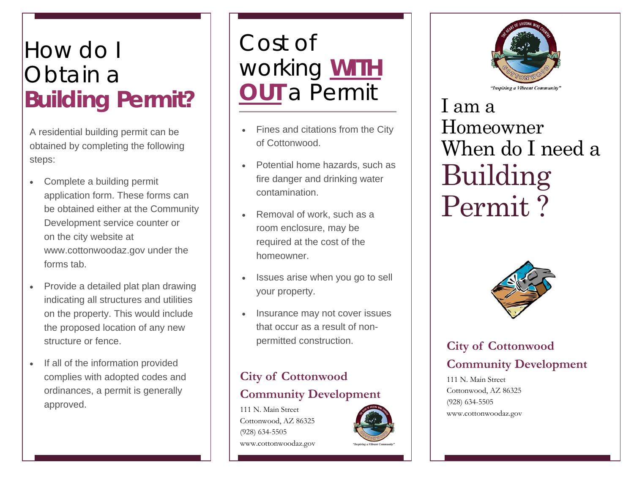# How do I Obtain a **Building Permit?**

A residential building permit can be obtained by completing the following steps:

- $\bullet$  Complete a building permit application form. These forms can be obtained either at the Community Development service counter or on the city website at www.cottonwoodaz.gov under the forms tab.
- $\bullet$  Provide a detailed plat plan drawing indicating all structures and utilities on the property. This would include the proposed location of any new structure or fence.
- $\bullet$  If all of the information provided complies with adopted codes and ordinances, a permit is generally approved.

Cost of working **WITH OUT** a Permit

- $\bullet$  Fines and citations from the City of Cottonwood.
- $\bullet$  Potential home hazards, such as fire danger and drinking water contamination.
- $\bullet$  Removal of work, such as a room enclosure, may be required at the cost of the homeowner.
- $\bullet$  Issues arise when you go to sell your property.
- $\bullet$  Insurance may not cover issues that occur as a result of nonpermitted construction.

### **City of Cottonwood Community Development**

111 N. Main Street Cottonwood, AZ 86325 (928) 634-5505 www.cottonwoodaz.gov





I am a Homeowner When do I need a Building Permit ?



## **City of Cottonwood Community Development**

111 N. Main Street Cottonwood, AZ 86325 (928) 634-5505 www.cottonwoodaz.gov